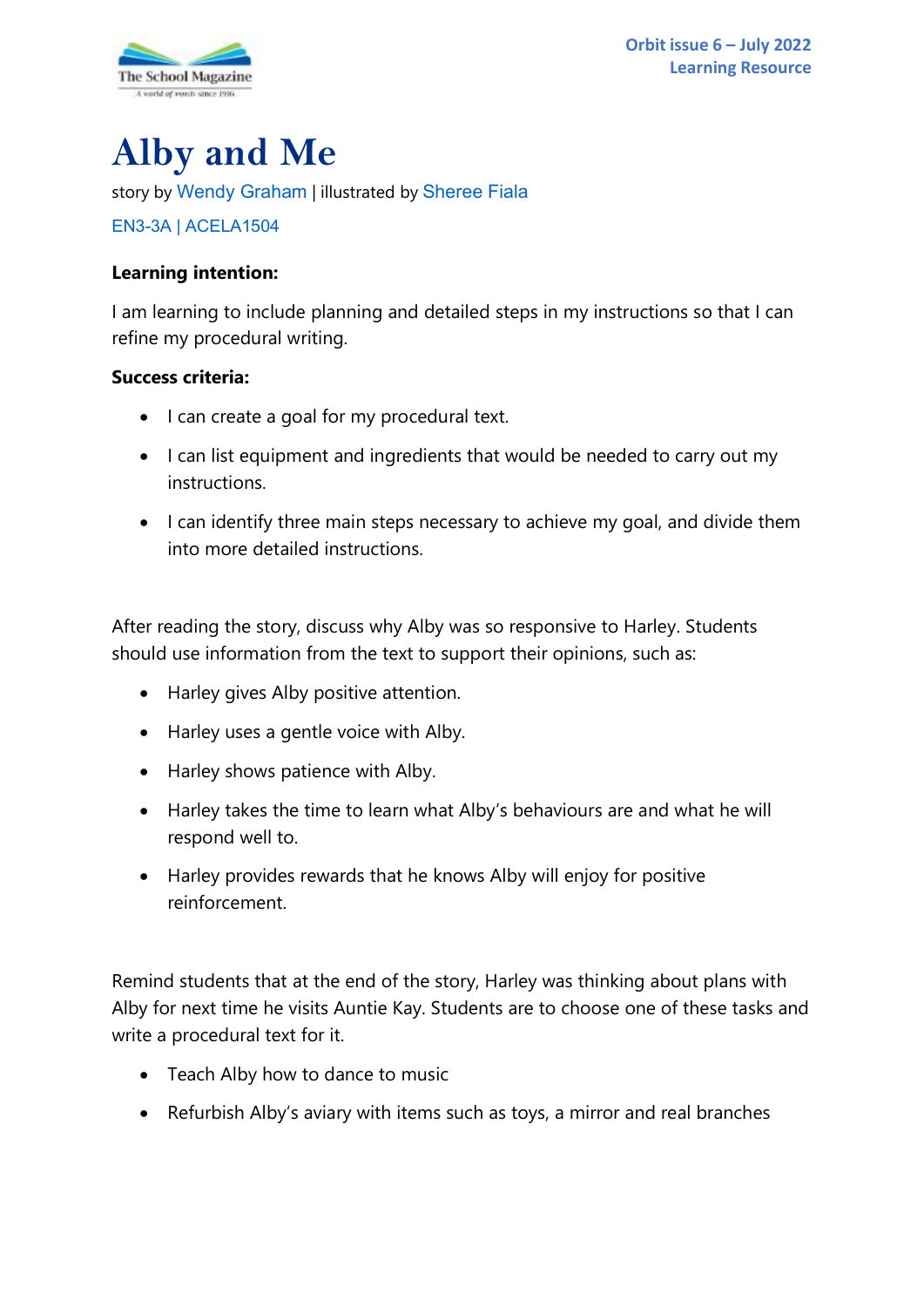

# **Alby and Me**

story by [Wendy Graham](http://www.wendygraham.com.au/) | illustrated by [Sheree Fiala](https://www.artstation.com/shereefiala)

# [EN3-3A](https://educationstandards.nsw.edu.au/wps/portal/nesa/k-10/learning-areas/english-year-10/english-k-10/content/893) | [ACELA1504](https://www.australiancurriculum.edu.au/Search/?q=ACELA1504)

# **Learning intention:**

I am learning to include planning and detailed steps in my instructions so that I can refine my procedural writing.

# **Success criteria:**

- I can create a goal for my procedural text.
- I can list equipment and ingredients that would be needed to carry out my instructions.
- I can identify three main steps necessary to achieve my goal, and divide them into more detailed instructions.

After reading the story, discuss why Alby was so responsive to Harley. Students should use information from the text to support their opinions, such as:

- Harley gives Alby positive attention.
- Harley uses a gentle voice with Alby.
- Harley shows patience with Alby.
- Harley takes the time to learn what Alby's behaviours are and what he will respond well to.
- Harley provides rewards that he knows Alby will enjoy for positive reinforcement.

Remind students that at the end of the story, Harley was thinking about plans with Alby for next time he visits Auntie Kay. Students are to choose one of these tasks and write a procedural text for it.

- Teach Alby how to dance to music
- Refurbish Alby's aviary with items such as toys, a mirror and real branches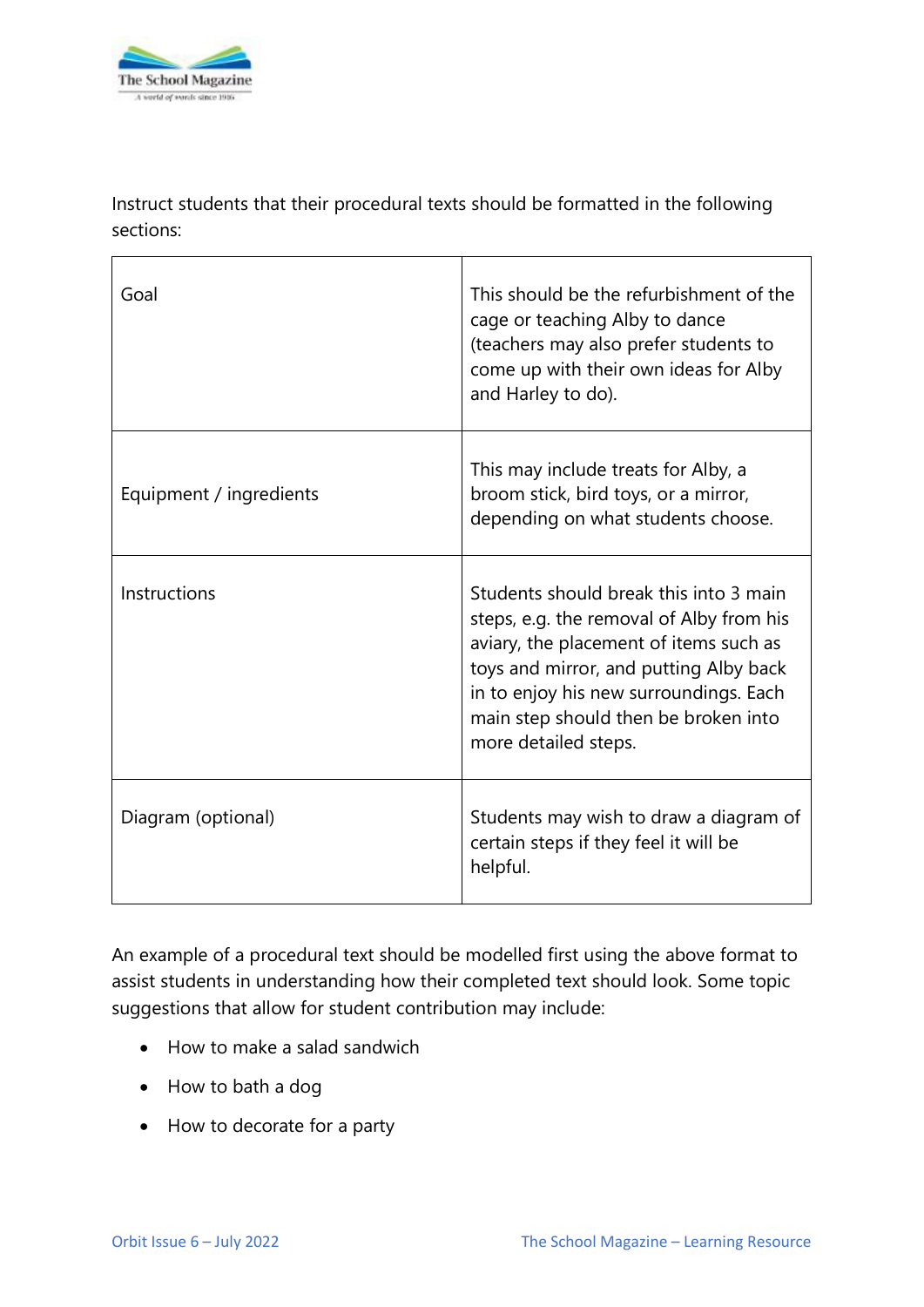

Instruct students that their procedural texts should be formatted in the following sections:

| Goal                    | This should be the refurbishment of the<br>cage or teaching Alby to dance<br>(teachers may also prefer students to<br>come up with their own ideas for Alby<br>and Harley to do).                                                                                                |
|-------------------------|----------------------------------------------------------------------------------------------------------------------------------------------------------------------------------------------------------------------------------------------------------------------------------|
| Equipment / ingredients | This may include treats for Alby, a<br>broom stick, bird toys, or a mirror,<br>depending on what students choose.                                                                                                                                                                |
| Instructions            | Students should break this into 3 main<br>steps, e.g. the removal of Alby from his<br>aviary, the placement of items such as<br>toys and mirror, and putting Alby back<br>in to enjoy his new surroundings. Each<br>main step should then be broken into<br>more detailed steps. |
| Diagram (optional)      | Students may wish to draw a diagram of<br>certain steps if they feel it will be<br>helpful.                                                                                                                                                                                      |

An example of a procedural text should be modelled first using the above format to assist students in understanding how their completed text should look. Some topic suggestions that allow for student contribution may include:

- How to make a salad sandwich
- How to bath a dog
- How to decorate for a party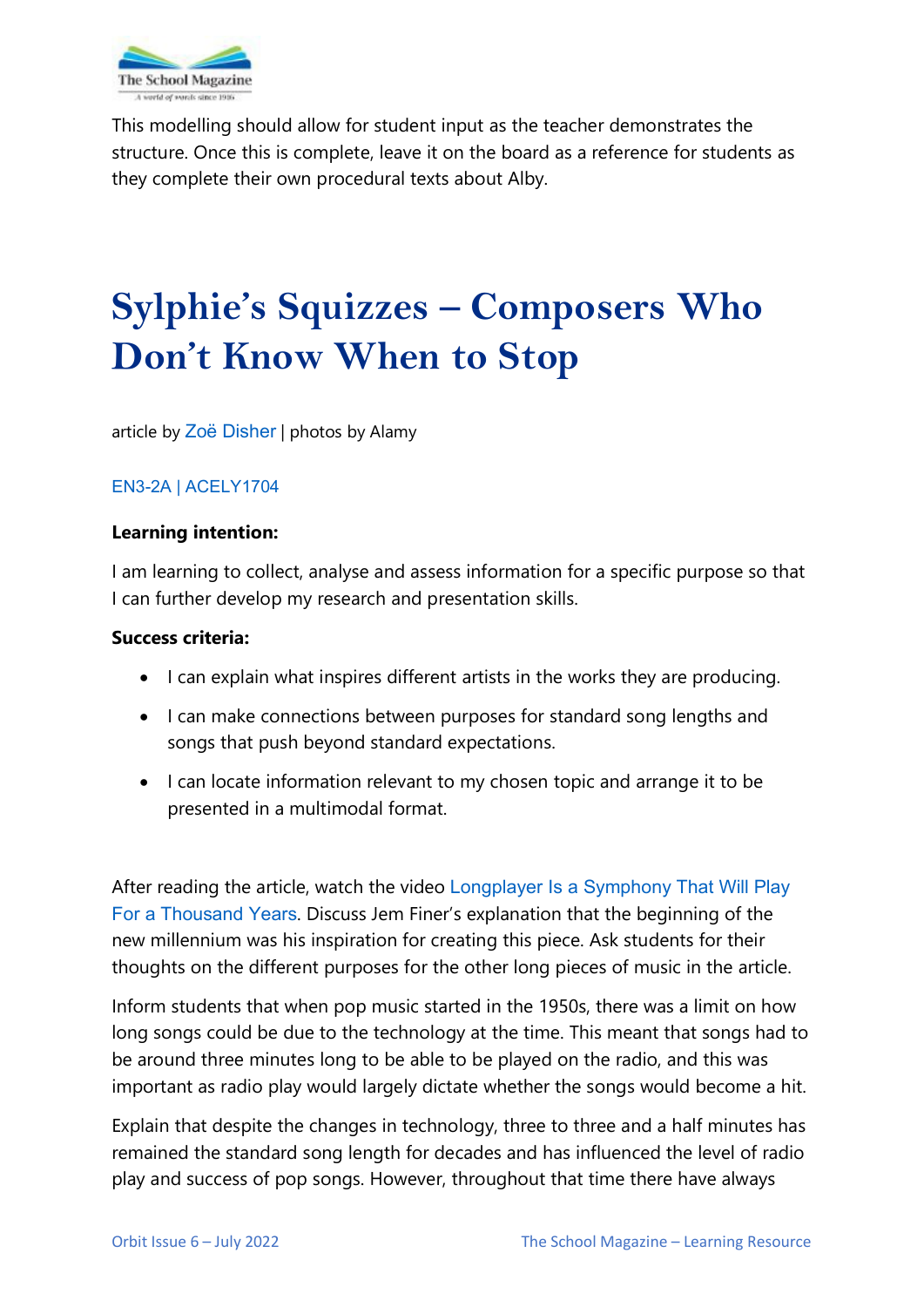

This modelling should allow for student input as the teacher demonstrates the structure. Once this is complete, leave it on the board as a reference for students as they complete their own procedural texts about Alby.

# **Sylphie's Squizzes – Composers Who Don't Know When to Stop**

article by Zoë [Disher](http://zoedisher.com.au/) | photos by Alamy

# [EN3-2A](https://educationstandards.nsw.edu.au/wps/portal/nesa/k-10/learning-areas/english-year-10/english-k-10/content/897) | [ACELY1704](https://www.australiancurriculum.edu.au/Search/?q=ACELY1704)

### **Learning intention:**

I am learning to collect, analyse and assess information for a specific purpose so that I can further develop my research and presentation skills.

### **Success criteria:**

- I can explain what inspires different artists in the works they are producing.
- I can make connections between purposes for standard song lengths and songs that push beyond standard expectations.
- I can locate information relevant to my chosen topic and arrange it to be presented in a multimodal format.

After reading the article, watch the video [Longplayer Is a Symphony That Will Play](https://www.youtube.com/watch?v=71bp0x8Ly-Y)  [For a Thousand Years](https://www.youtube.com/watch?v=71bp0x8Ly-Y). Discuss Jem Finer's explanation that the beginning of the new millennium was his inspiration for creating this piece. Ask students for their thoughts on the different purposes for the other long pieces of music in the article.

Inform students that when pop music started in the 1950s, there was a limit on how long songs could be due to the technology at the time. This meant that songs had to be around three minutes long to be able to be played on the radio, and this was important as radio play would largely dictate whether the songs would become a hit.

Explain that despite the changes in technology, three to three and a half minutes has remained the standard song length for decades and has influenced the level of radio play and success of pop songs. However, throughout that time there have always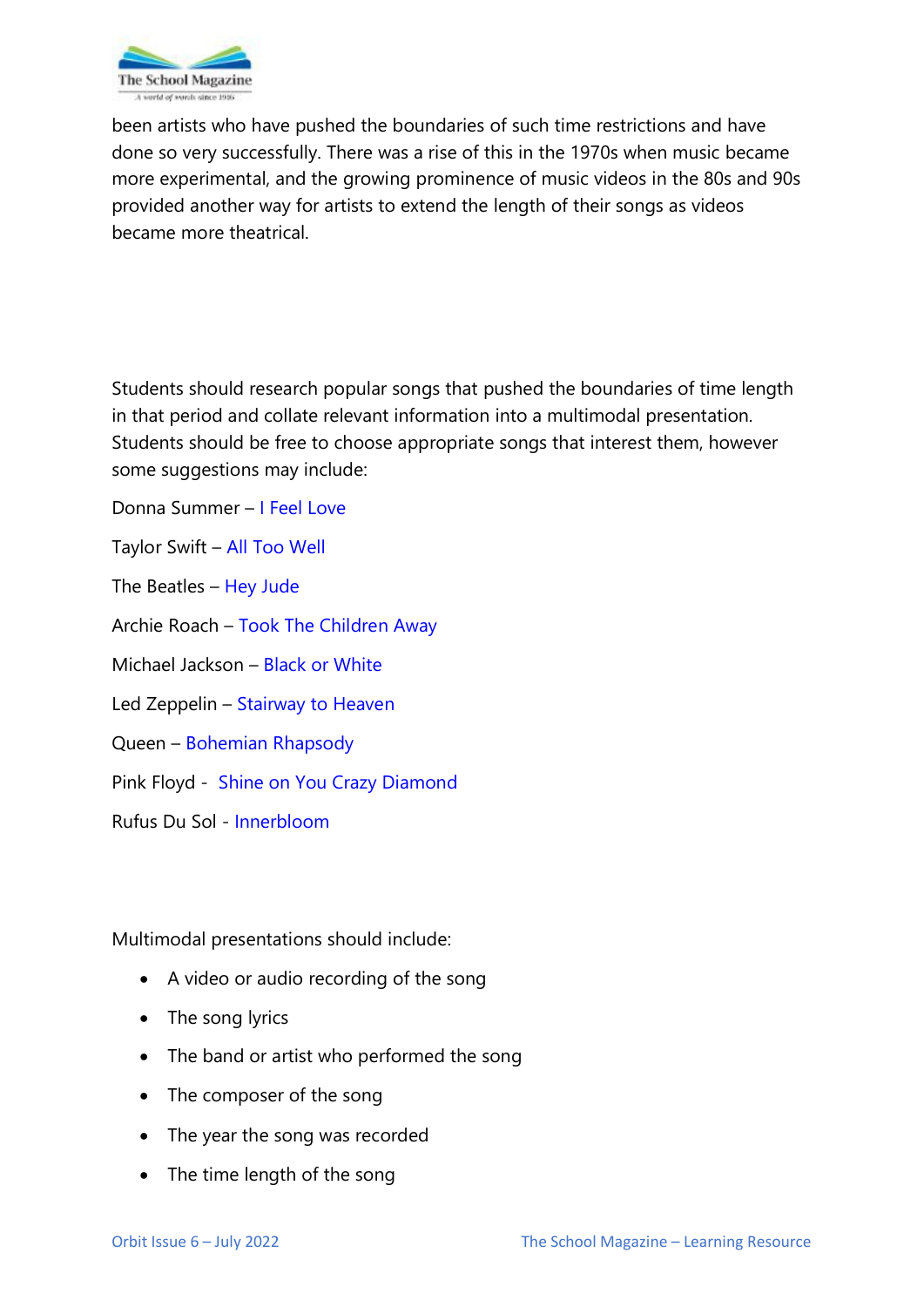

been artists who have pushed the boundaries of such time restrictions and have done so very successfully. There was a rise of this in the 1970s when music became more experimental, and the growing prominence of music videos in the 80s and 90s provided another way for artists to extend the length of their songs as videos became more theatrical.

Students should research popular songs that pushed the boundaries of time length in that period and collate relevant information into a multimodal presentation. Students should be free to choose appropriate songs that interest them, however some suggestions may include:

Donna Summer – [I Feel Love](https://www.youtube.com/watch?v=6S2n5Tbq_0s)

Taylor Swift – [All Too Well](https://www.youtube.com/watch?v=sRxrwjOtIag)

The Beatles – [Hey Jude](https://www.youtube.com/watch?v=A_MjCqQoLLA)

Archie Roach – [Took The Children Away](https://www.youtube.com/watch?v=IL_DBNkkcSE)

Michael Jackson – [Black or White](https://www.youtube.com/watch?v=pTFE8cirkdQ)

Led Zeppelin – [Stairway to Heaven](https://www.youtube.com/watch?v=xbhCPt6PZIU)

Queen – [Bohemian Rhapsody](https://www.youtube.com/watch?v=fJ9rUzIMcZQ)

Pink Floyd - [Shine on You Crazy Diamond](https://www.youtube.com/watch?v=cWGE9Gi0bB0)

Rufus Du Sol - [Innerbloom](https://www.youtube.com/watch?v=Tx9zMFodNtA)

Multimodal presentations should include:

- A video or audio recording of the song
- The song lyrics
- The band or artist who performed the song
- The composer of the song
- The year the song was recorded
- The time length of the song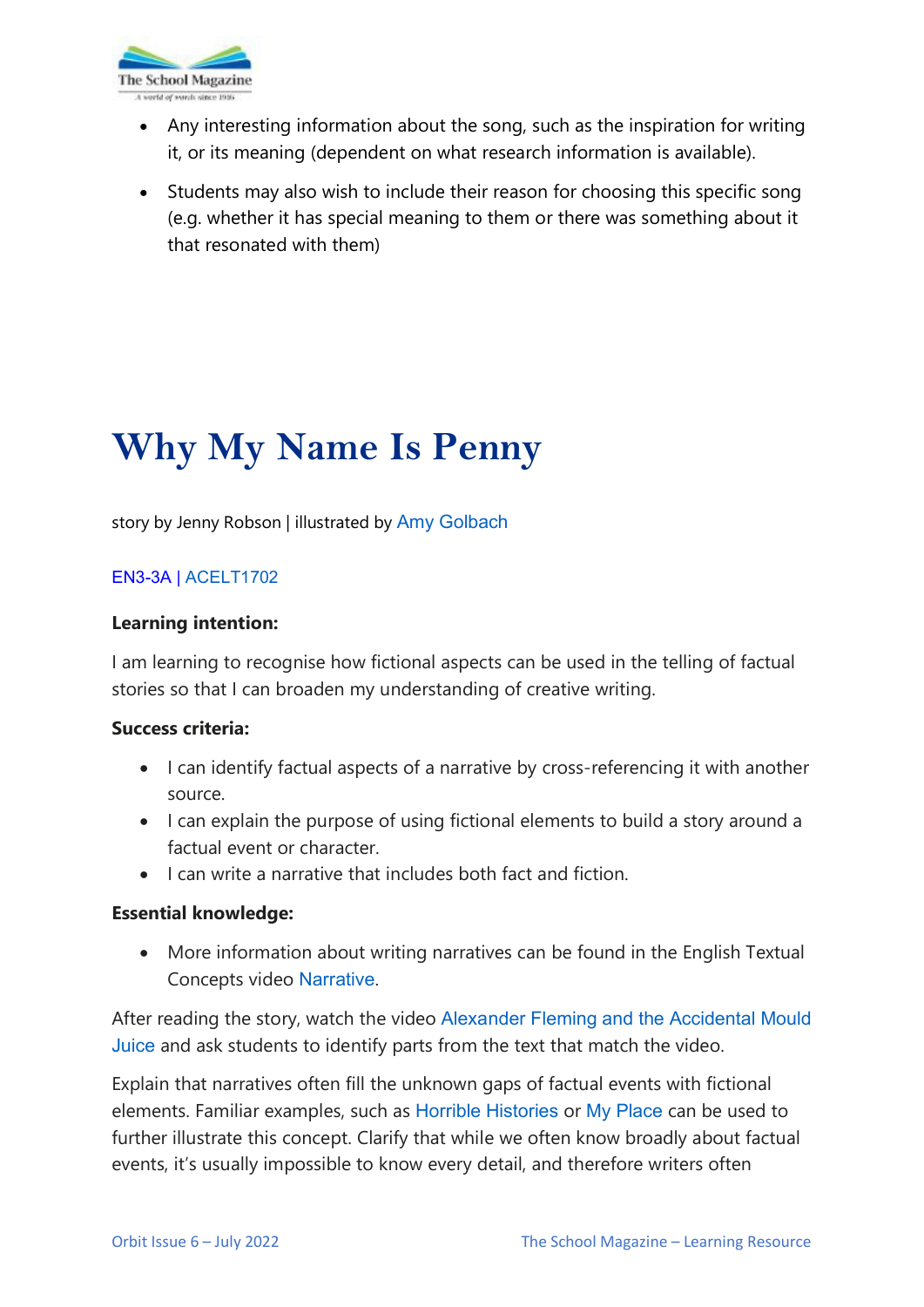

- Any interesting information about the song, such as the inspiration for writing it, or its meaning (dependent on what research information is available).
- Students may also wish to include their reason for choosing this specific song (e.g. whether it has special meaning to them or there was something about it that resonated with them)

# **Why My Name Is Penny**

story by Jenny Robson | illustrated by [Amy Golbach](http://www.annabron.com/)

# [EN3-3A](https://educationstandards.nsw.edu.au/wps/portal/nesa/k-10/learning-areas/english-year-10/english-k-10/content/893) | [ACELT1702](https://www.australiancurriculum.edu.au/Search/?q=ACELY1702%20)

#### **Learning intention:**

I am learning to recognise how fictional aspects can be used in the telling of factual stories so that I can broaden my understanding of creative writing.

#### **Success criteria:**

- I can identify factual aspects of a narrative by cross-referencing it with another source.
- I can explain the purpose of using fictional elements to build a story around a factual event or character.
- I can write a narrative that includes both fact and fiction.

### **Essential knowledge:**

• More information about writing narratives can be found in the English Textual Concepts video [Narrative](https://theschoolmagazine.com.au/resources/narrative).

After reading the story, watch the video [Alexander Fleming and the Accidental Mould](https://www.youtube.com/watch?v=0ZWjzcsTd5M)  [Juice](https://www.youtube.com/watch?v=0ZWjzcsTd5M) and ask students to identify parts from the text that match the video.

Explain that narratives often fill the unknown gaps of factual events with fictional elements. Familiar examples, such as [Horrible Histories](https://www.youtube.com/c/HorribleHistoriesOfficial/playlists) or [My Place](https://myplace.edu.au/) can be used to further illustrate this concept. Clarify that while we often know broadly about factual events, it's usually impossible to know every detail, and therefore writers often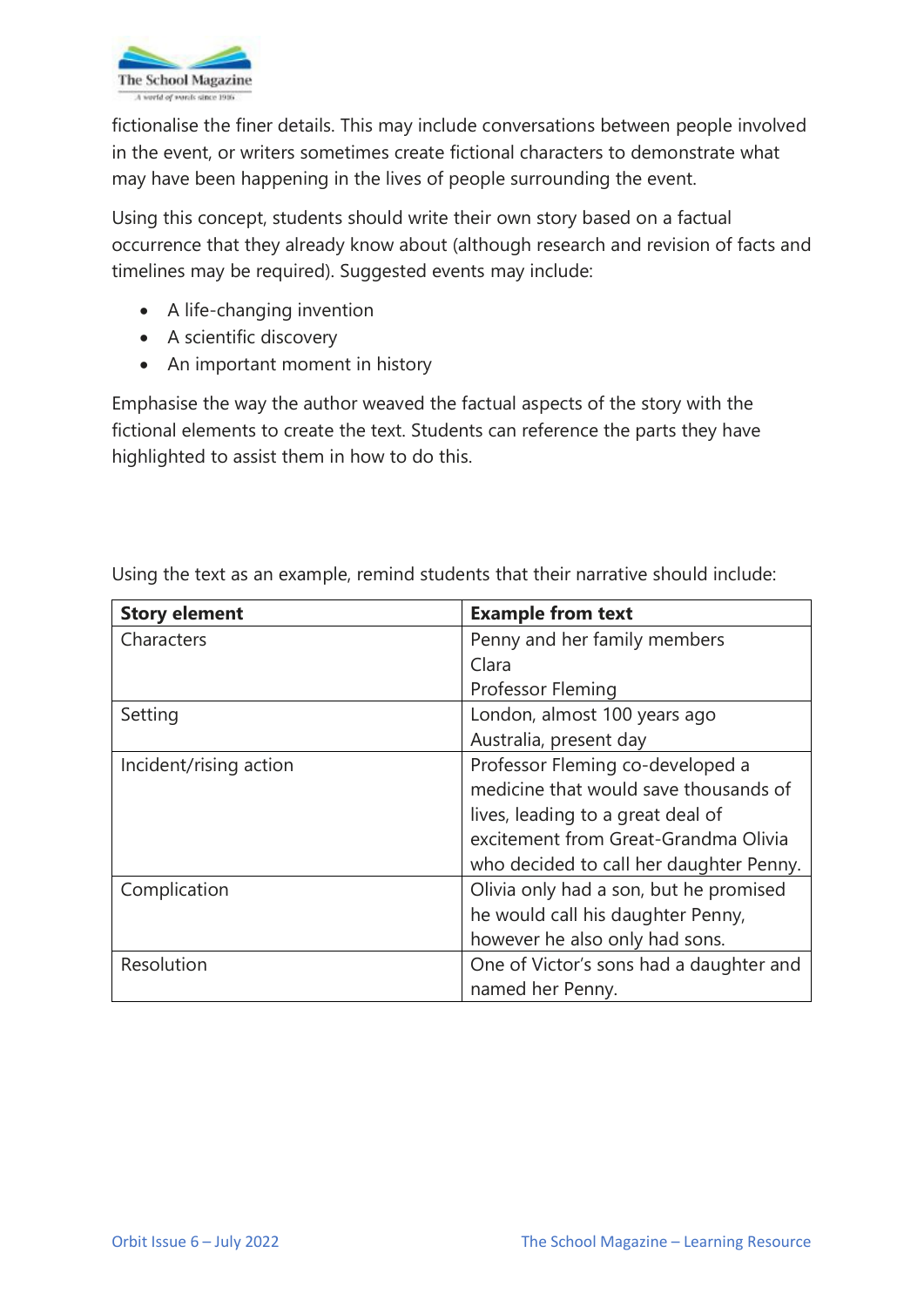

fictionalise the finer details. This may include conversations between people involved in the event, or writers sometimes create fictional characters to demonstrate what may have been happening in the lives of people surrounding the event.

Using this concept, students should write their own story based on a factual occurrence that they already know about (although research and revision of facts and timelines may be required). Suggested events may include:

- A life-changing invention
- A scientific discovery
- An important moment in history

Emphasise the way the author weaved the factual aspects of the story with the fictional elements to create the text. Students can reference the parts they have highlighted to assist them in how to do this.

| <b>Story element</b>   | <b>Example from text</b>                |
|------------------------|-----------------------------------------|
| Characters             | Penny and her family members            |
|                        | Clara                                   |
|                        | Professor Fleming                       |
| Setting                | London, almost 100 years ago            |
|                        | Australia, present day                  |
| Incident/rising action | Professor Fleming co-developed a        |
|                        | medicine that would save thousands of   |
|                        | lives, leading to a great deal of       |
|                        | excitement from Great-Grandma Olivia    |
|                        | who decided to call her daughter Penny. |
| Complication           | Olivia only had a son, but he promised  |
|                        | he would call his daughter Penny,       |
|                        | however he also only had sons.          |
| Resolution             | One of Victor's sons had a daughter and |
|                        | named her Penny.                        |

Using the text as an example, remind students that their narrative should include: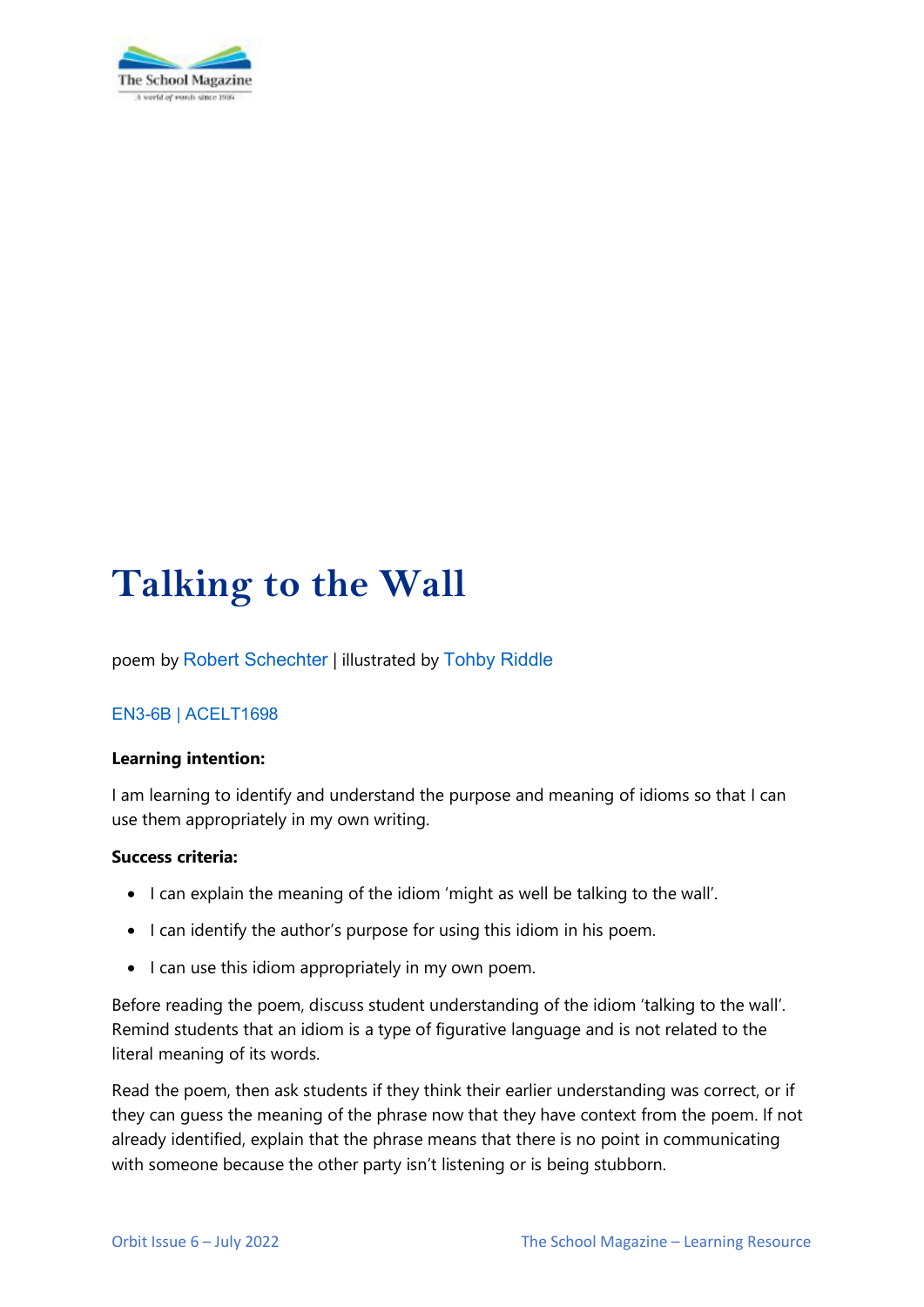

# **Talking to the Wall**

poem by Robert [Schechter](https://www.bobschechter.com/) | illustrated by [Tohby Riddle](https://www.penguin.com.au/authors/tohby-riddle)

# [EN3-6B](https://educationstandards.nsw.edu.au/wps/portal/nesa/k-10/learning-areas/english-year-10/english-k-10/content/895) | [ACELT1698](https://www.australiancurriculum.edu.au/Search/?q=ACELY1698)

#### **Learning intention:**

I am learning to identify and understand the purpose and meaning of idioms so that I can use them appropriately in my own writing.

#### **Success criteria:**

- I can explain the meaning of the idiom 'might as well be talking to the wall'.
- I can identify the author's purpose for using this idiom in his poem.
- I can use this idiom appropriately in my own poem.

Before reading the poem, discuss student understanding of the idiom 'talking to the wall'. Remind students that an idiom is a type of figurative language and is not related to the literal meaning of its words.

Read the poem, then ask students if they think their earlier understanding was correct, or if they can guess the meaning of the phrase now that they have context from the poem. If not already identified, explain that the phrase means that there is no point in communicating with someone because the other party isn't listening or is being stubborn.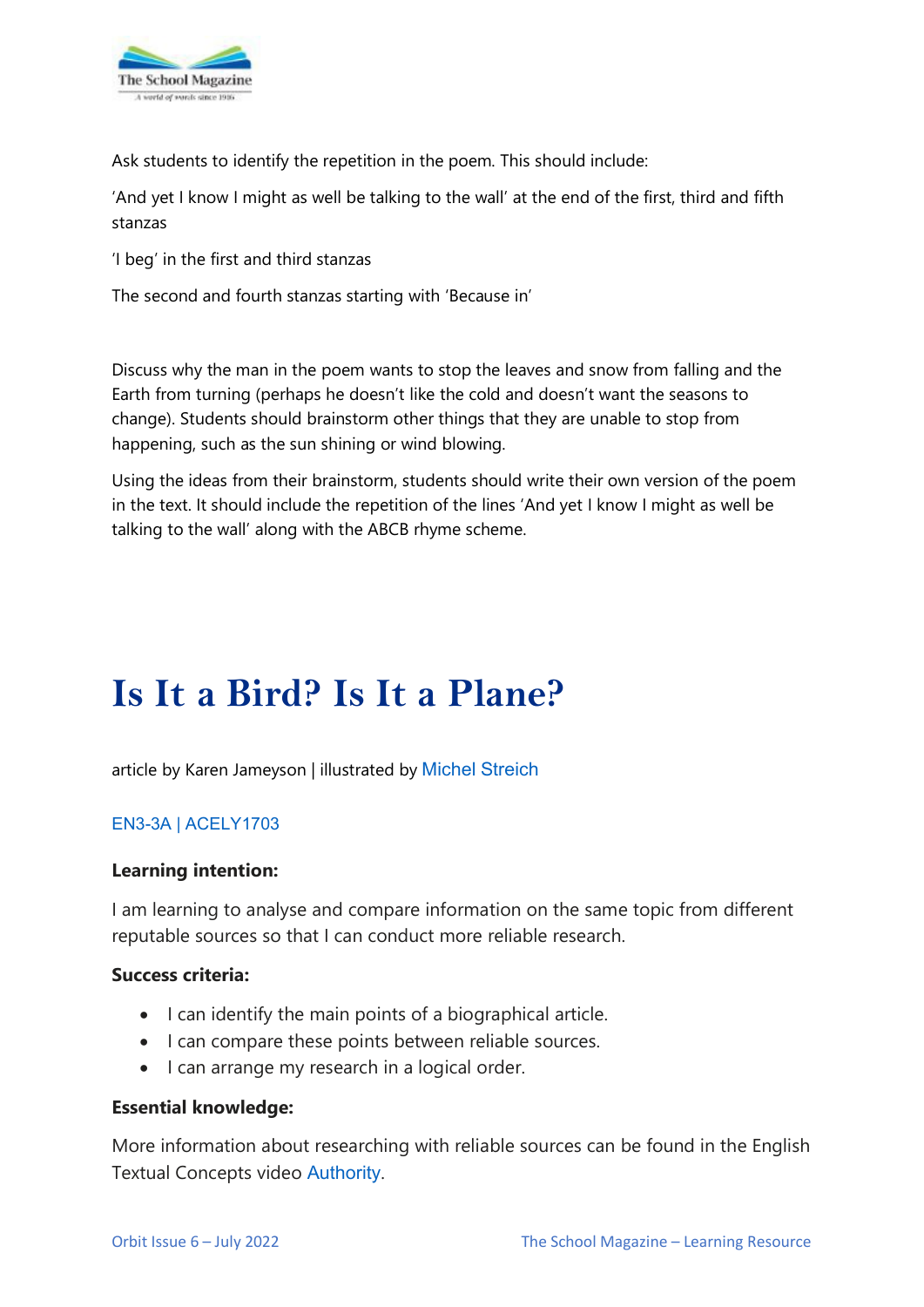

Ask students to identify the repetition in the poem. This should include:

'And yet I know I might as well be talking to the wall' at the end of the first, third and fifth stanzas

'I beg' in the first and third stanzas

The second and fourth stanzas starting with 'Because in'

Discuss why the man in the poem wants to stop the leaves and snow from falling and the Earth from turning (perhaps he doesn't like the cold and doesn't want the seasons to change). Students should brainstorm other things that they are unable to stop from happening, such as the sun shining or wind blowing.

Using the ideas from their brainstorm, students should write their own version of the poem in the text. It should include the repetition of the lines 'And yet I know I might as well be talking to the wall' along with the ABCB rhyme scheme.

# **Is It a Bird? Is It a Plane?**

article by Karen Jameyson | illustrated by [Michel Streich](https://michelstreich.com/)

### [EN3-3A](https://educationstandards.nsw.edu.au/wps/portal/nesa/k-10/learning-areas/english-year-10/english-k-10/content/893) | [ACELY1703](https://www.australiancurriculum.edu.au/Search/?q=acely1703)

#### **Learning intention:**

I am learning to analyse and compare information on the same topic from different reputable sources so that I can conduct more reliable research.

#### **Success criteria:**

- I can identify the main points of a biographical article.
- I can compare these points between reliable sources.
- I can arrange my research in a logical order.

#### **Essential knowledge:**

More information about researching with reliable sources can be found in the English Textual Concepts video [Authority](https://theschoolmagazine.com.au/resources/authority).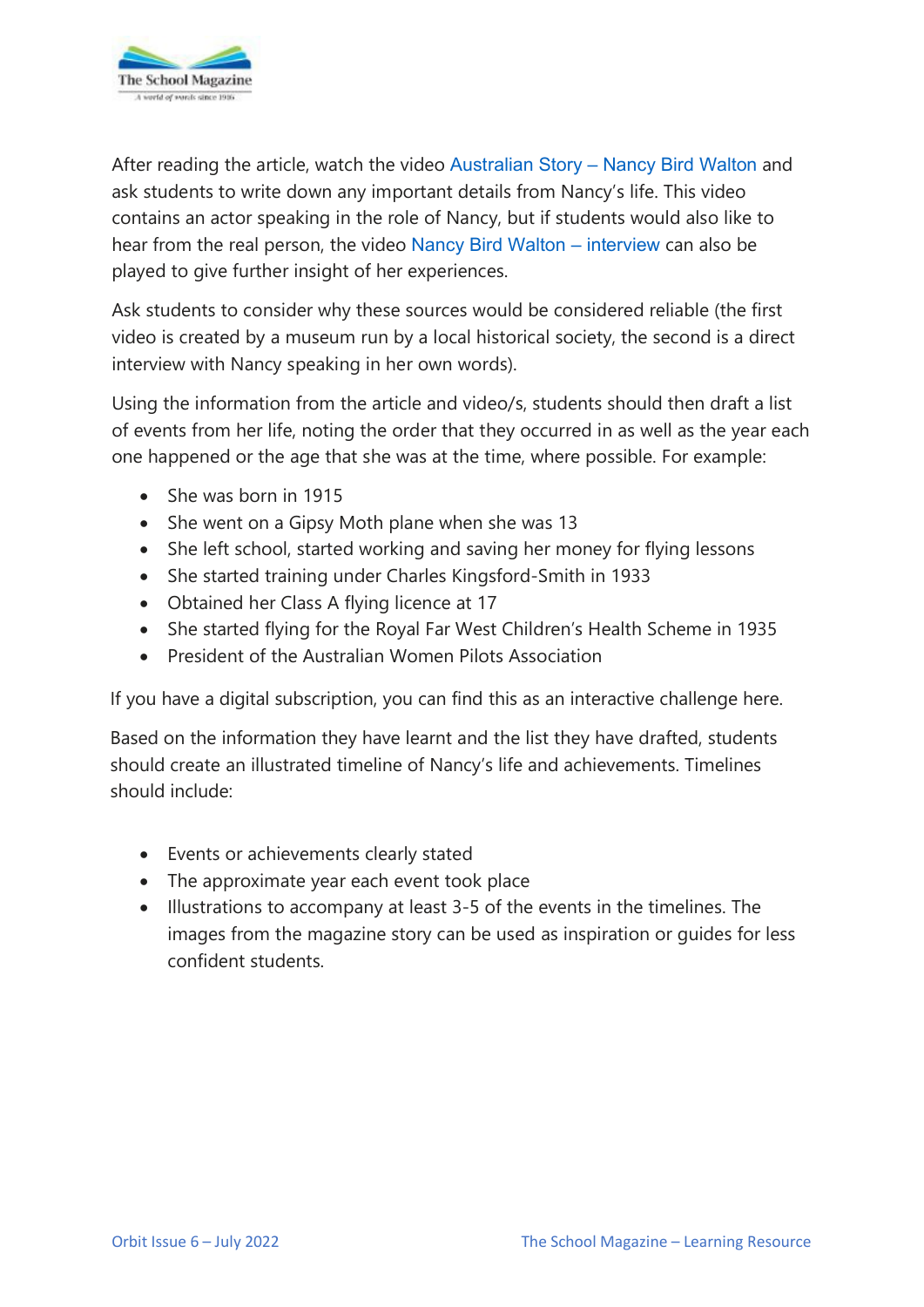

After reading the article, watch the video [Australian Story – Nancy Bird Walton](https://www.youtube.com/watch?v=TuPSMZubAf8) and ask students to write down any important details from Nancy's life. This video contains an actor speaking in the role of Nancy, but if students would also like to hear from the real person, the video [Nancy Bird Walton – interview](https://www.youtube.com/watch?v=Yf1KK_MuVMs) can also be played to give further insight of her experiences.

Ask students to consider why these sources would be considered reliable (the first video is created by a museum run by a local historical society, the second is a direct interview with Nancy speaking in her own words).

Using the information from the article and video/s, students should then draft a list of events from her life, noting the order that they occurred in as well as the year each one happened or the age that she was at the time, where possible. For example:

- She was born in 1915
- She went on a Gipsy Moth plane when she was 13
- She left school, started working and saving her money for flying lessons
- She started training under Charles Kingsford-Smith in 1933
- Obtained her Class A flying licence at 17
- She started flying for the Royal Far West Children's Health Scheme in 1935
- President of the Australian Women Pilots Association

If you have a digital subscription, you can find this as an interactive challenge here.

Based on the information they have learnt and the list they have drafted, students should create an illustrated timeline of Nancy's life and achievements. Timelines should include:

- Events or achievements clearly stated
- The approximate year each event took place
- Illustrations to accompany at least 3-5 of the events in the timelines. The images from the magazine story can be used as inspiration or guides for less confident students.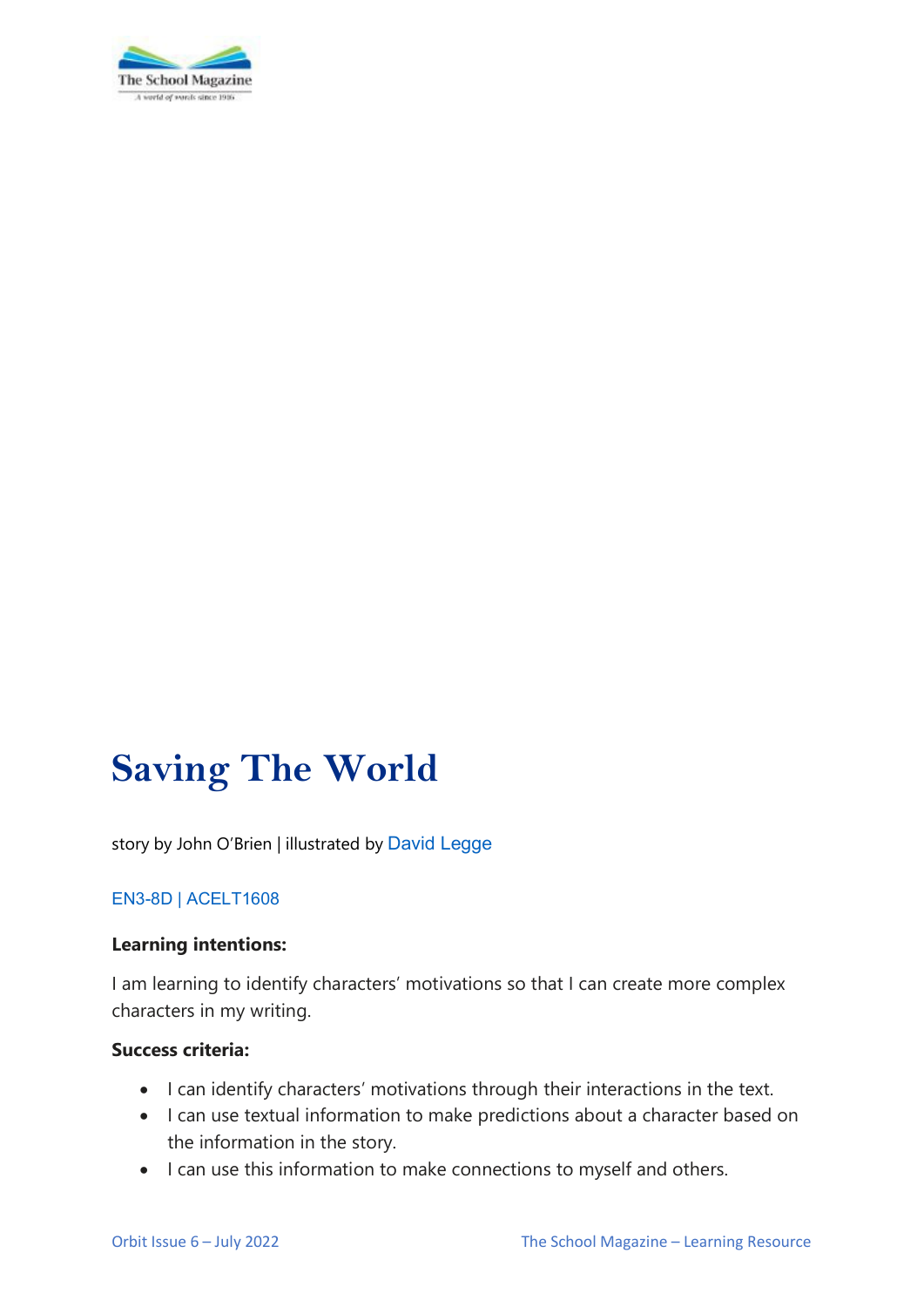

# **Saving The World**

story by John O'Brien | illustrated by [David Legge](https://www.harpercollins.com.au/cr-109865/david-legge/)

### [EN3-8D](https://educationstandards.nsw.edu.au/wps/portal/nesa/k-10/learning-areas/english-year-10/english-k-10/content/899/!ut/p/z1/tVPLcoIwFP2WLlhmchMR4pJSK77qq1TJxokYFB8BkdHar2-wtTulHafZJTn3nHNzTzDHE8yVOMQLkceJEhu9D7g1NZseQAVop9EeuDBojIY2qzc7zLXx-AygDrGIZ5J2r8EIOK89YtGWTXt-FfOintAGIYx2waY2OMO-23_ynil0qt_1cGU58Lv6GwB-2_8b5piHKk_zJQ7S4zRMVC5VbkCaJSsZ5ugoZwYouRcGrBEBAzZSZCpWCyQyKfYGSLXYxPslOunzM-By8AX_IWS1WqGVhvEcB4JZtGIxE1FhhsicQYTEfB4ikJGMIhZVIYJLb9fN89tPNy70SqZTxhFoD_ZVDyM9gEMsj9hXSbbVeRn9sUWvTIHCnQol9Nad9K2ygOkfRLOu211oWpEvUayiBE-KMOibeLXbcUcHsAjJe44n_57AdOv7_pZVTmgddesVM2gdPh5fEJ-djg-fBPM_eQ!!/dz/d5/L2dBISEvZ0FBIS9nQSEh/?urile=wcm%3Apath%3A%2Fpw_content%2Fproject-web%2Fnesa%2Fk-10%2Flearning-areas%2Fenglish-year-10%2Fenglish-k-10%2Fcontent%2F899) | [ACELT1608](https://www.australiancurriculum.edu.au/Search/?q=ACELT1608)

#### **Learning intentions:**

I am learning to identify characters' motivations so that I can create more complex characters in my writing.

# **Success criteria:**

- I can identify characters' motivations through their interactions in the text.
- I can use textual information to make predictions about a character based on the information in the story.
- I can use this information to make connections to myself and others.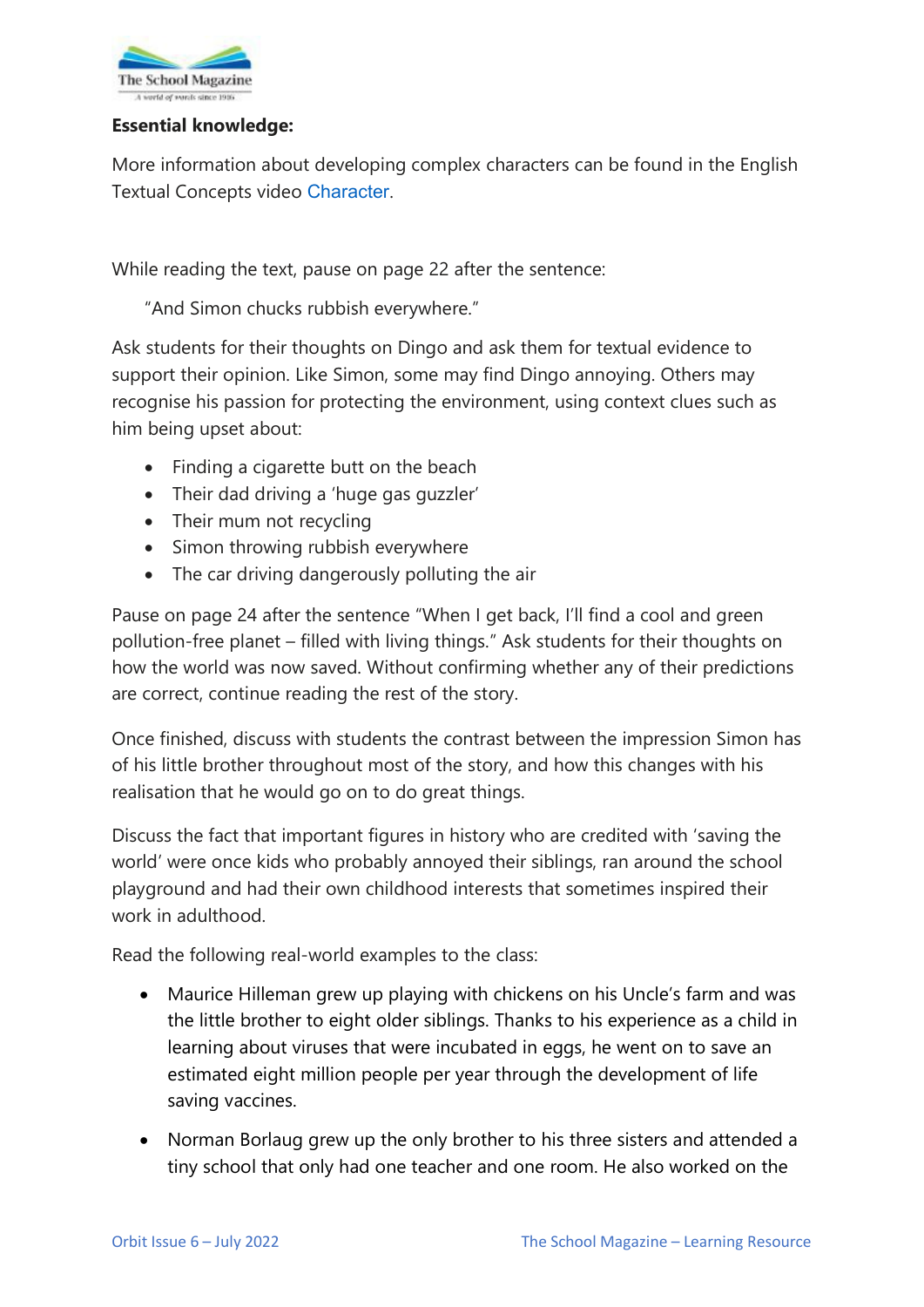

# **Essential knowledge:**

More information about developing complex characters can be found in the English Textual Concepts video [Character](https://theschoolmagazine.com.au/resources/character).

While reading the text, pause on page 22 after the sentence:

"And Simon chucks rubbish everywhere."

Ask students for their thoughts on Dingo and ask them for textual evidence to support their opinion. Like Simon, some may find Dingo annoying. Others may recognise his passion for protecting the environment, using context clues such as him being upset about:

- Finding a cigarette butt on the beach
- Their dad driving a 'huge gas guzzler'
- Their mum not recycling
- Simon throwing rubbish everywhere
- The car driving dangerously polluting the air

Pause on page 24 after the sentence "When I get back, I'll find a cool and green pollution-free planet – filled with living things." Ask students for their thoughts on how the world was now saved. Without confirming whether any of their predictions are correct, continue reading the rest of the story.

Once finished, discuss with students the contrast between the impression Simon has of his little brother throughout most of the story, and how this changes with his realisation that he would go on to do great things.

Discuss the fact that important figures in history who are credited with 'saving the world' were once kids who probably annoyed their siblings, ran around the school playground and had their own childhood interests that sometimes inspired their work in adulthood.

Read the following real-world examples to the class:

- Maurice Hilleman grew up playing with chickens on his Uncle's farm and was the little brother to eight older siblings. Thanks to his experience as a child in learning about viruses that were incubated in eggs, he went on to save an estimated eight million people per year through the development of life saving vaccines.
- Norman Borlaug grew up the only brother to his three sisters and attended a tiny school that only had one teacher and one room. He also worked on the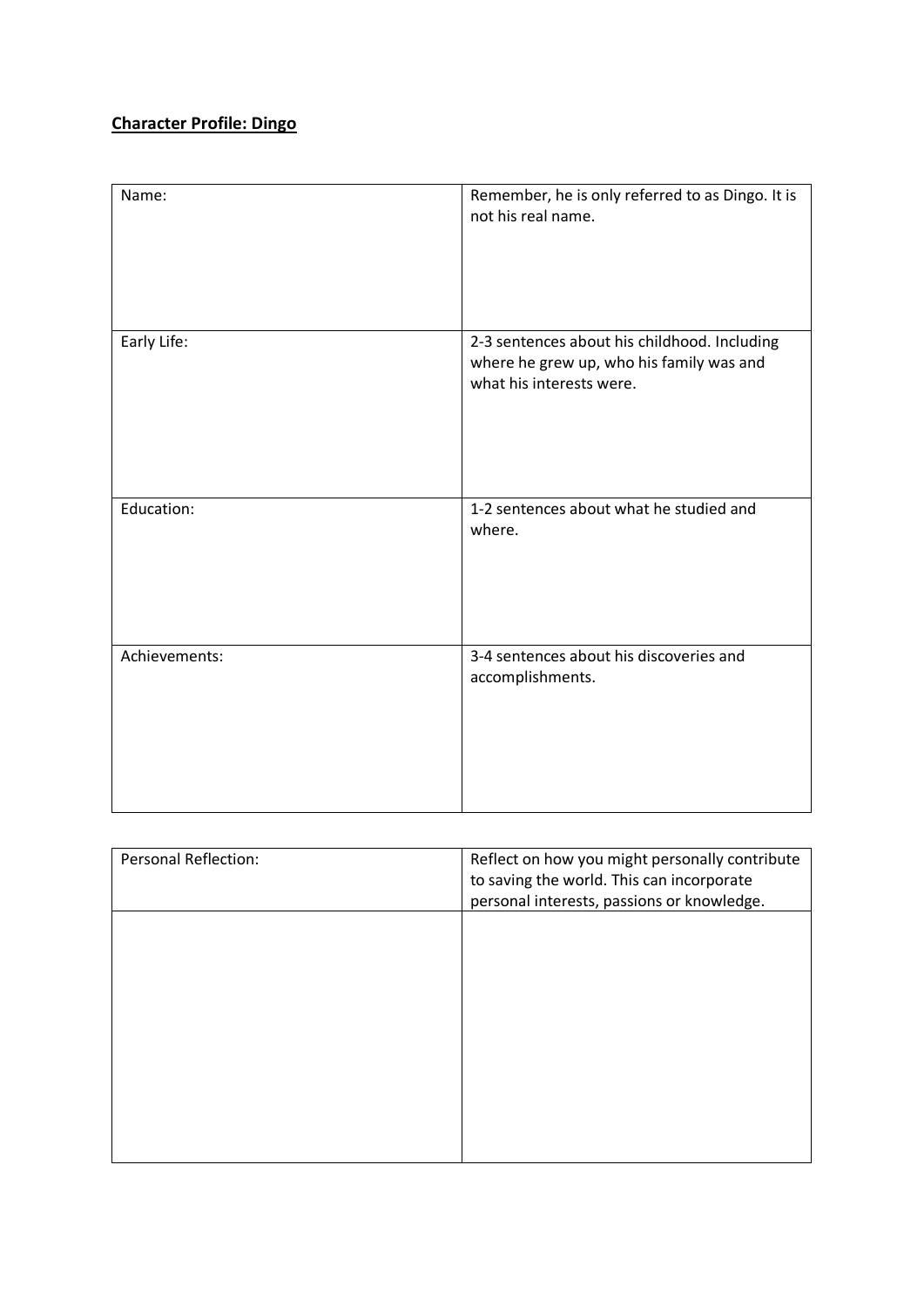# **Character Profile: Dingo**

| Name:         | Remember, he is only referred to as Dingo. It is<br>not his real name.                                               |
|---------------|----------------------------------------------------------------------------------------------------------------------|
| Early Life:   | 2-3 sentences about his childhood. Including<br>where he grew up, who his family was and<br>what his interests were. |
| Education:    | 1-2 sentences about what he studied and<br>where.                                                                    |
| Achievements: | 3-4 sentences about his discoveries and<br>accomplishments.                                                          |

| Reflect on how you might personally contribute<br>to saving the world. This can incorporate<br>personal interests, passions or knowledge. |
|-------------------------------------------------------------------------------------------------------------------------------------------|
|                                                                                                                                           |
|                                                                                                                                           |
|                                                                                                                                           |
|                                                                                                                                           |
|                                                                                                                                           |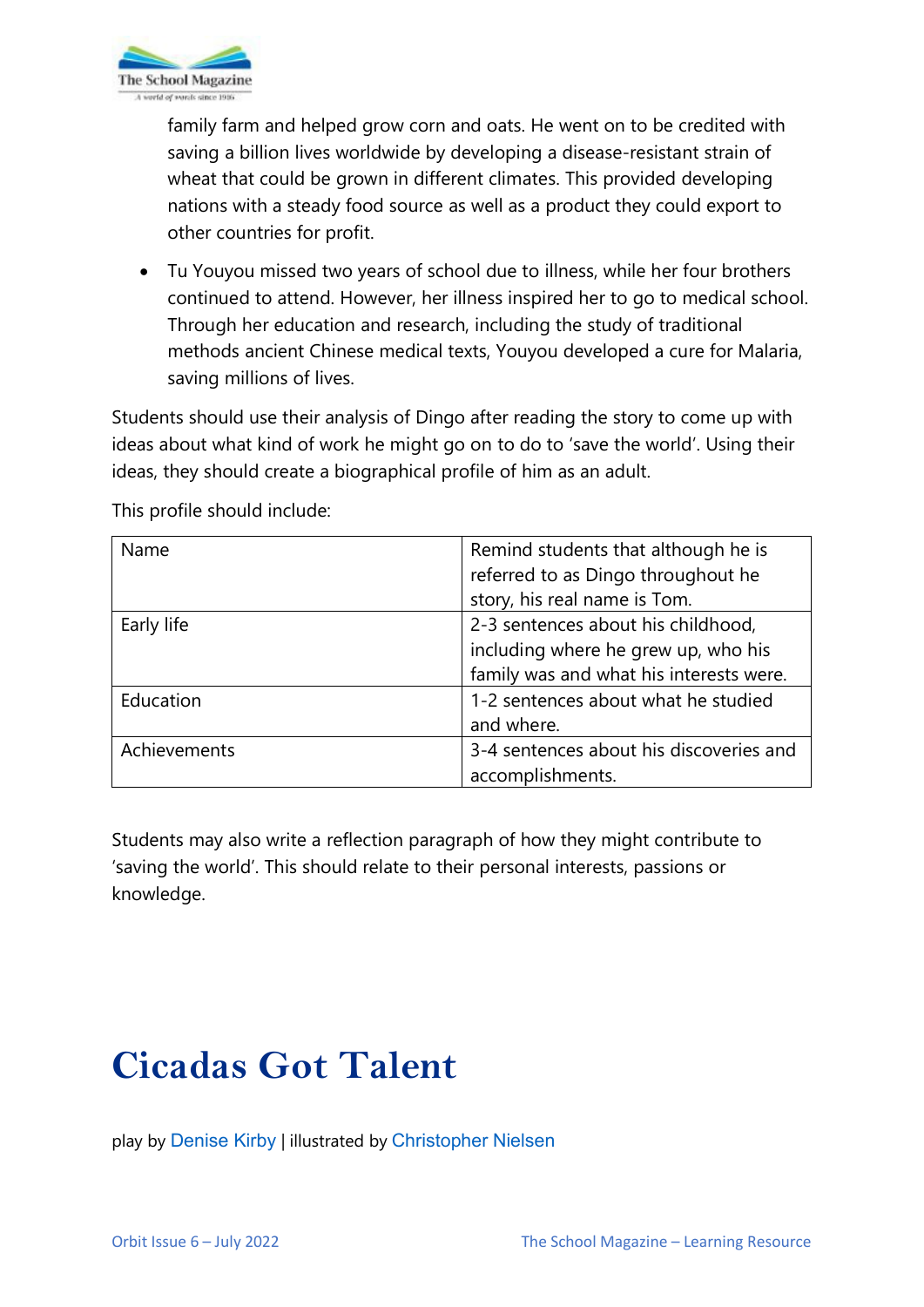

family farm and helped grow corn and oats. He went on to be credited with saving a billion lives worldwide by developing a disease-resistant strain of wheat that could be grown in different climates. This provided developing nations with a steady food source as well as a product they could export to other countries for profit.

• Tu Youyou missed two years of school due to illness, while her four brothers continued to attend. However, her illness inspired her to go to medical school. Through her education and research, including the study of traditional methods ancient Chinese medical texts, Youyou developed a cure for Malaria, saving millions of lives.

Students should use their analysis of Dingo after reading the story to come up with ideas about what kind of work he might go on to do to 'save the world'. Using their ideas, they should create a biographical profile of him as an adult.

| Name         | Remind students that although he is     |
|--------------|-----------------------------------------|
|              | referred to as Dingo throughout he      |
|              | story, his real name is Tom.            |
| Early life   | 2-3 sentences about his childhood,      |
|              | including where he grew up, who his     |
|              | family was and what his interests were. |
| Education    | 1-2 sentences about what he studied     |
|              | and where.                              |
| Achievements | 3-4 sentences about his discoveries and |
|              | accomplishments.                        |

This profile should include:

Students may also write a reflection paragraph of how they might contribute to 'saving the world'. This should relate to their personal interests, passions or knowledge.

# **Cicadas Got Talent**

play by [Denise Kirby](https://www.denisekirby.com.au/) | illustrated by [Christopher Nielsen](http://www.chrisillo.com/)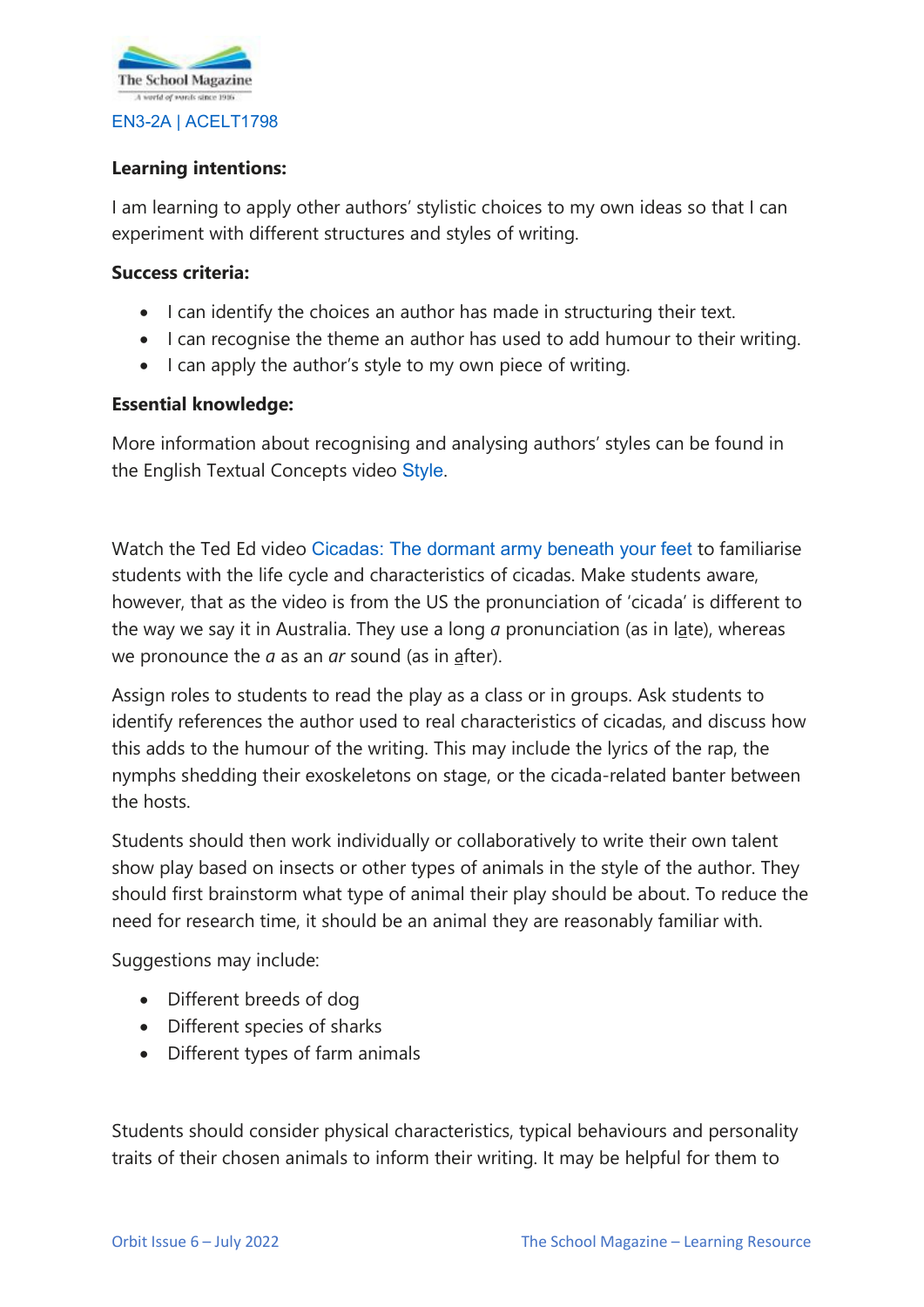

# **Learning intentions:**

I am learning to apply other authors' stylistic choices to my own ideas so that I can experiment with different structures and styles of writing.

### **Success criteria:**

- I can identify the choices an author has made in structuring their text.
- I can recognise the theme an author has used to add humour to their writing.
- I can apply the author's style to my own piece of writing.

### **Essential knowledge:**

More information about recognising and analysing authors' styles can be found in the English Textual Concepts video [Style](https://theschoolmagazine.com.au/resources/style).

Watch the Ted Ed video [Cicadas: The dormant army beneath your feet](https://www.youtube.com/watch?v=8iaoEkpnvVk) to familiarise students with the life cycle and characteristics of cicadas. Make students aware, however, that as the video is from the US the pronunciation of 'cicada' is different to the way we say it in Australia. They use a long *a* pronunciation (as in late), whereas we pronounce the *a* as an *ar* sound (as in after).

Assign roles to students to read the play as a class or in groups. Ask students to identify references the author used to real characteristics of cicadas, and discuss how this adds to the humour of the writing. This may include the lyrics of the rap, the nymphs shedding their exoskeletons on stage, or the cicada-related banter between the hosts.

Students should then work individually or collaboratively to write their own talent show play based on insects or other types of animals in the style of the author. They should first brainstorm what type of animal their play should be about. To reduce the need for research time, it should be an animal they are reasonably familiar with.

Suggestions may include:

- Different breeds of dog
- Different species of sharks
- Different types of farm animals

Students should consider physical characteristics, typical behaviours and personality traits of their chosen animals to inform their writing. It may be helpful for them to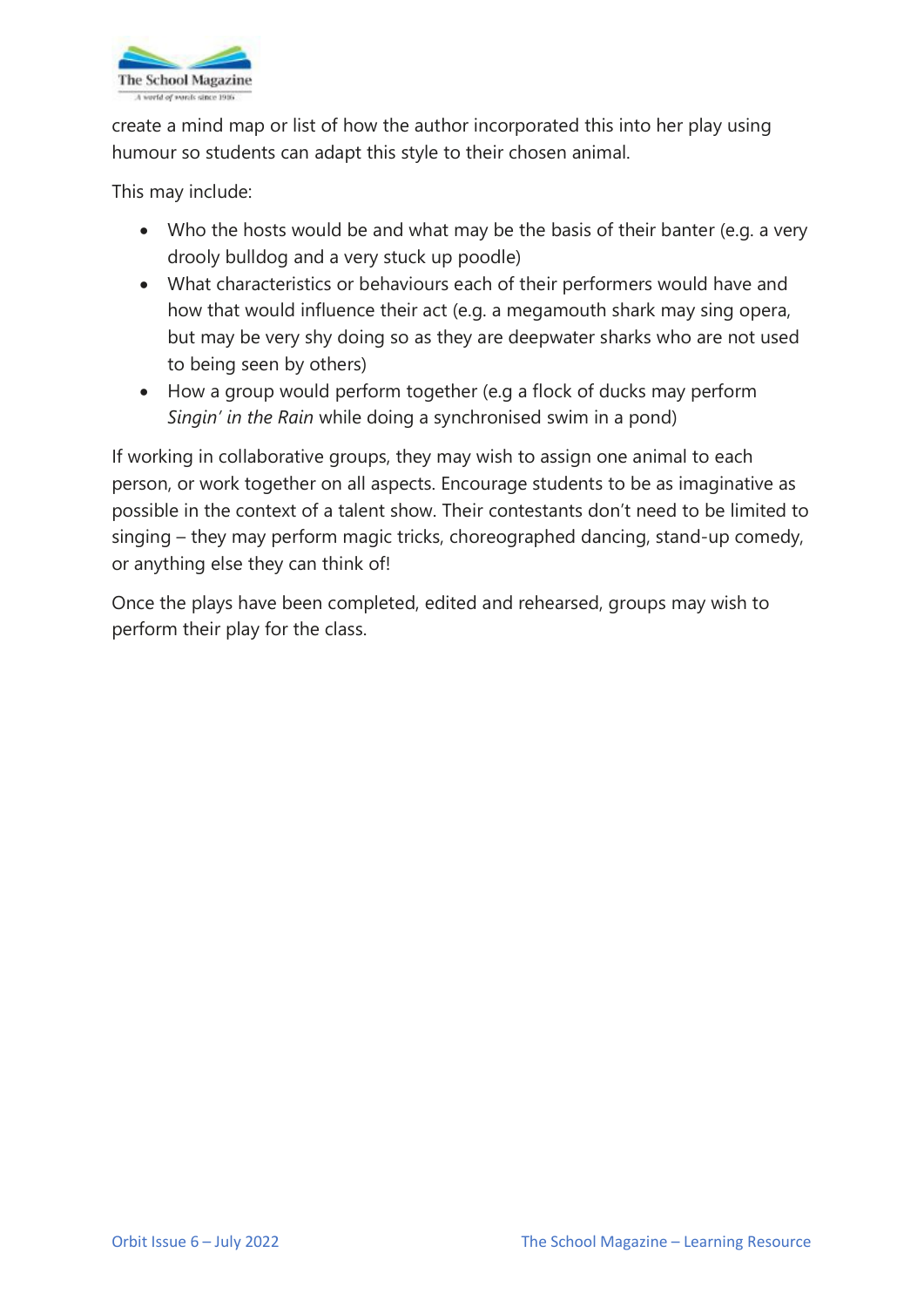

create a mind map or list of how the author incorporated this into her play using humour so students can adapt this style to their chosen animal.

This may include:

- Who the hosts would be and what may be the basis of their banter (e.g. a very drooly bulldog and a very stuck up poodle)
- What characteristics or behaviours each of their performers would have and how that would influence their act (e.g. a megamouth shark may sing opera, but may be very shy doing so as they are deepwater sharks who are not used to being seen by others)
- How a group would perform together (e.g a flock of ducks may perform *Singin' in the Rain* while doing a synchronised swim in a pond)

If working in collaborative groups, they may wish to assign one animal to each person, or work together on all aspects. Encourage students to be as imaginative as possible in the context of a talent show. Their contestants don't need to be limited to singing – they may perform magic tricks, choreographed dancing, stand-up comedy, or anything else they can think of!

Once the plays have been completed, edited and rehearsed, groups may wish to perform their play for the class.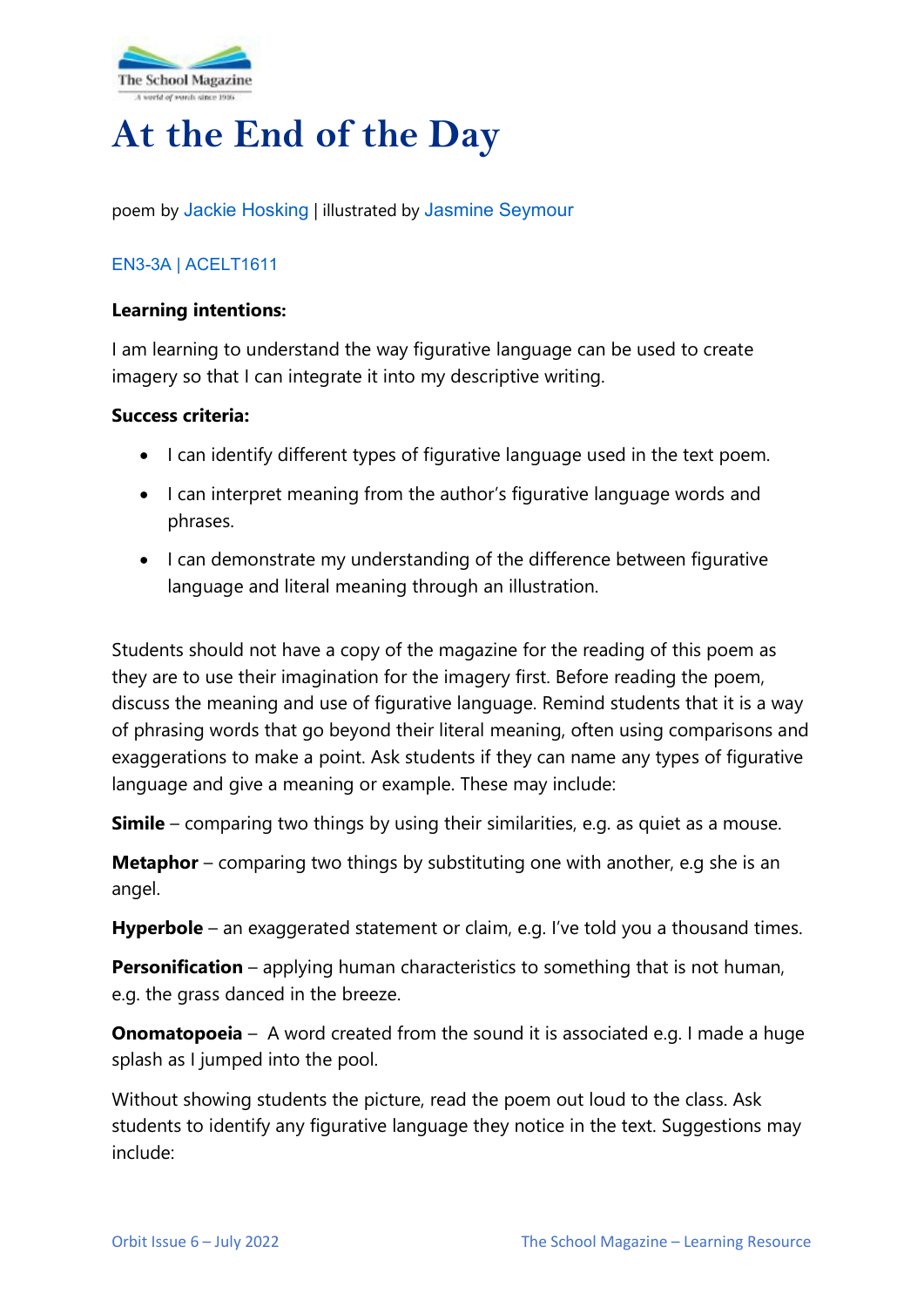

# **At the End of the Day**

poem by [Jackie Hosking](https://jackiehoskingblog.wordpress.com/) | illustrated by [Jasmine Seymour](https://www.magabala.com/collections/jasmine-seymour)

# [EN3-3A](https://educationstandards.nsw.edu.au/wps/portal/nesa/k-10/learning-areas/english-year-10/english-k-10/content/893) | [ACELT1611](https://www.australiancurriculum.edu.au/Search/?q=ACELT1611)

# **Learning intentions:**

I am learning to understand the way figurative language can be used to create imagery so that I can integrate it into my descriptive writing.

### **Success criteria:**

- I can identify different types of figurative language used in the text poem.
- I can interpret meaning from the author's figurative language words and phrases.
- I can demonstrate my understanding of the difference between figurative language and literal meaning through an illustration.

Students should not have a copy of the magazine for the reading of this poem as they are to use their imagination for the imagery first. Before reading the poem, discuss the meaning and use of figurative language. Remind students that it is a way of phrasing words that go beyond their literal meaning, often using comparisons and exaggerations to make a point. Ask students if they can name any types of figurative language and give a meaning or example. These may include:

**Simile** – comparing two things by using their similarities, e.g. as quiet as a mouse.

**Metaphor** – comparing two things by substituting one with another, e.g she is an angel.

**Hyperbole** – an exaggerated statement or claim, e.g. I've told you a thousand times.

**Personification** – applying human characteristics to something that is not human, e.g. the grass danced in the breeze.

**Onomatopoeia** – A word created from the sound it is associated e.g. I made a huge splash as I jumped into the pool.

Without showing students the picture, read the poem out loud to the class. Ask students to identify any figurative language they notice in the text. Suggestions may include: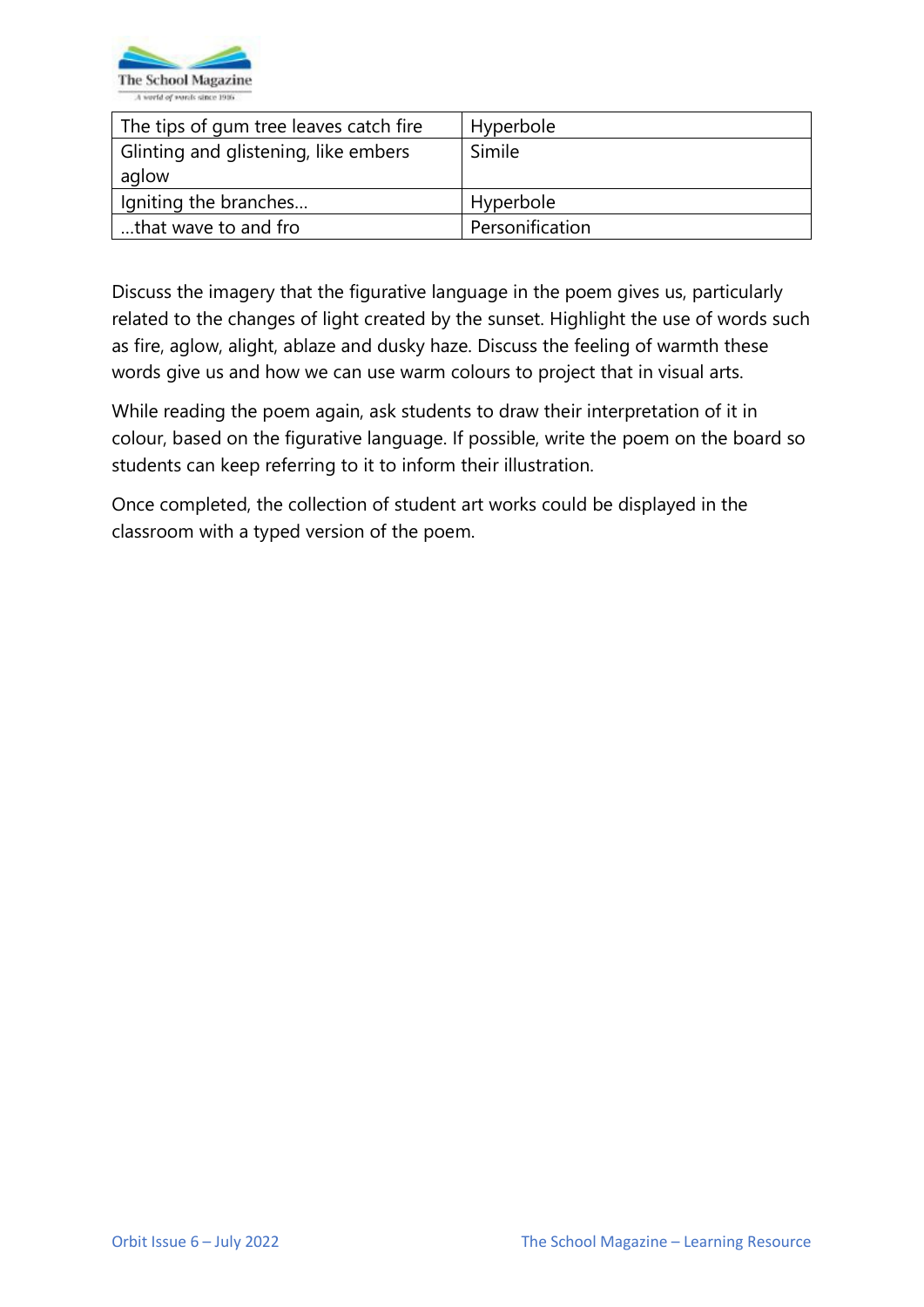

| The tips of gum tree leaves catch fire | Hyperbole       |
|----------------------------------------|-----------------|
| Glinting and glistening, like embers   | Simile          |
| aglow                                  |                 |
| Igniting the branches                  | Hyperbole       |
| that wave to and fro                   | Personification |

Discuss the imagery that the figurative language in the poem gives us, particularly related to the changes of light created by the sunset. Highlight the use of words such as fire, aglow, alight, ablaze and dusky haze. Discuss the feeling of warmth these words give us and how we can use warm colours to project that in visual arts.

While reading the poem again, ask students to draw their interpretation of it in colour, based on the figurative language. If possible, write the poem on the board so students can keep referring to it to inform their illustration.

Once completed, the collection of student art works could be displayed in the classroom with a typed version of the poem.